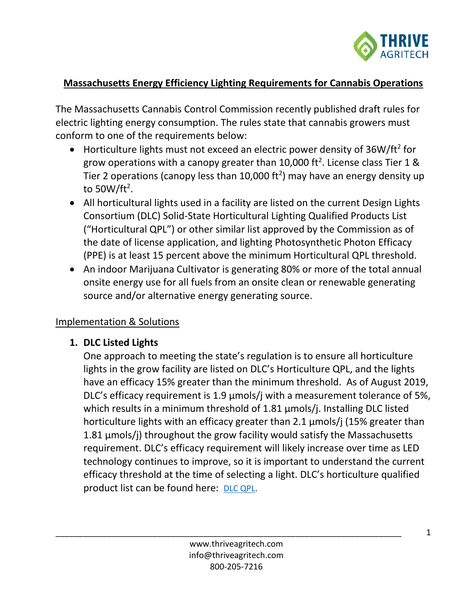

## **Massachusetts Energy Efficiency Lighting Requirements for Cannabis Operations**

The Massachusetts Cannabis Control Commission recently published draft rules for electric lighting energy consumption. The rules state that cannabis growers must conform to one of the requirements below:

- Horticulture lights must not exceed an electric power density of  $36W/ft^2$  for grow operations with a canopy greater than 10,000 ft<sup>2</sup>. License class Tier 1 & Tier 2 operations (canopy less than 10,000 ft<sup>2</sup>) may have an energy density up to 50W/ft<sup>2</sup>.
- All horticultural lights used in a facility are listed on the current Design Lights Consortium (DLC) Solid-State Horticultural Lighting Qualified Products List ("Horticultural QPL") or other similar list approved by the Commission as of the date of license application, and lighting Photosynthetic Photon Efficacy (PPE) is at least 15 percent above the minimum Horticultural QPL threshold.
- An indoor Marijuana Cultivator is generating 80% or more of the total annual onsite energy use for all fuels from an onsite clean or renewable generating source and/or alternative energy generating source.

#### Implementation & Solutions

#### **1. DLC Listed Lights**

One approach to meeting the state's regulation is to ensure all horticulture lights in the grow facility are listed on DLC's Horticulture QPL, and the lights have an efficacy 15% greater than the minimum threshold. As of August 2019, DLC's efficacy requirement is 1.9 µmols/j with a measurement tolerance of 5%, which results in a minimum threshold of 1.81 umols/j. Installing DLC listed horticulture lights with an efficacy greater than 2.1 µmols/j (15% greater than 1.81 µmols/j) throughout the grow facility would satisfy the Massachusetts requirement. DLC's efficacy requirement will likely increase over time as LED technology continues to improve, so it is important to understand the current efficacy threshold at the time of selecting a light. DLC's horticulture qualified product list can be found here: [DLC QPL.](https://www.designlights.org/horticultural-lighting/search/)

\_\_\_\_\_\_\_\_\_\_\_\_\_\_\_\_\_\_\_\_\_\_\_\_\_\_\_\_\_\_\_\_\_\_\_\_\_\_\_\_\_\_\_\_\_\_\_\_\_\_\_\_\_\_\_\_\_\_\_\_\_\_\_\_\_\_\_\_\_\_\_\_\_\_\_